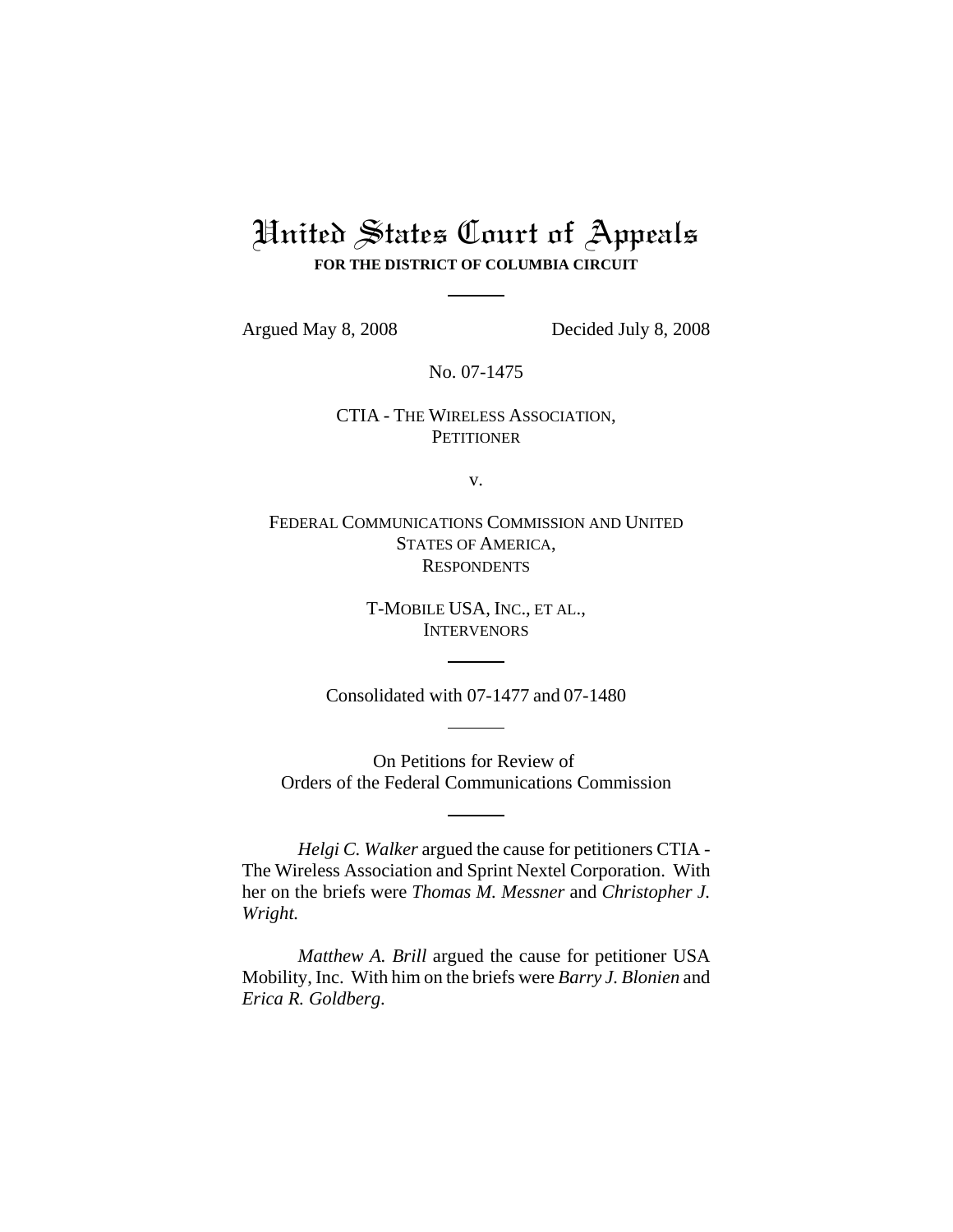## United States Court of Appeals **FOR THE DISTRICT OF COLUMBIA CIRCUIT**

Argued May 8, 2008 Decided July 8, 2008

No. 07-1475

## CTIA - THE WIRELESS ASSOCIATION, **PETITIONER**

v.

FEDERAL COMMUNICATIONS COMMISSION AND UNITED STATES OF AMERICA, **RESPONDENTS** 

> T-MOBILE USA, INC., ET AL., **INTERVENORS**

Consolidated with 07-1477 and 07-1480

On Petitions for Review of Orders of the Federal Communications Commission

*Helgi C. Walker* argued the cause for petitioners CTIA - The Wireless Association and Sprint Nextel Corporation. With her on the briefs were *Thomas M. Messner* and *Christopher J. Wright.*

*Matthew A. Brill* argued the cause for petitioner USA Mobility, Inc. With him on the briefs were *Barry J. Blonien* and *Erica R. Goldberg*.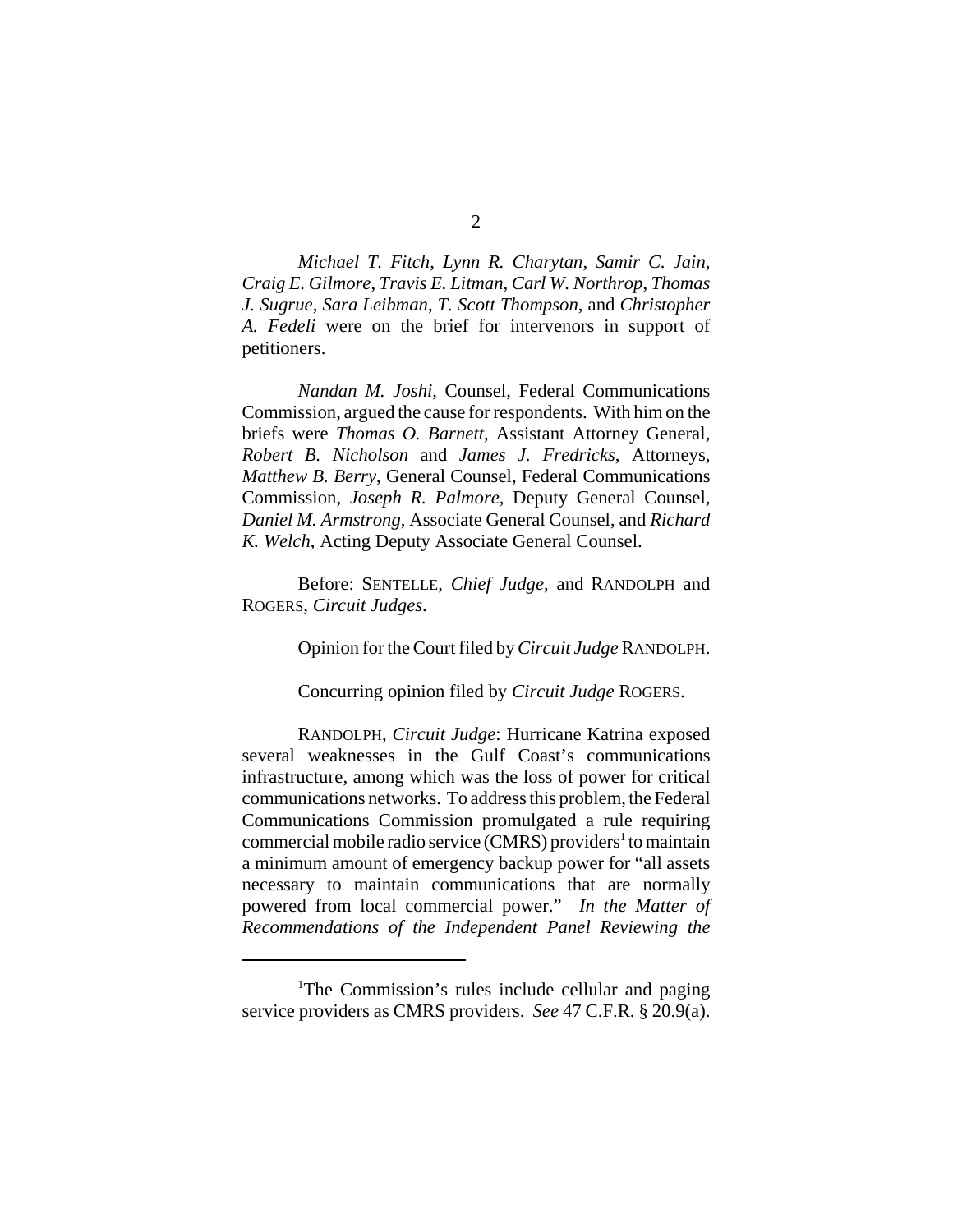*Michael T. Fitch*, *Lynn R. Charytan*, *Samir C. Jain*, *Craig E. Gilmore*, *Travis E. Litman*, *Carl W. Northrop*, *Thomas J. Sugrue*, *Sara Leibman*, *T. Scott Thompson*, and *Christopher A. Fedeli* were on the brief for intervenors in support of petitioners.

*Nandan M. Joshi*, Counsel, Federal Communications Commission, argued the cause for respondents. With him on the briefs were *Thomas O. Barnett*, Assistant Attorney General, *Robert B. Nicholson* and *James J. Fredricks*, Attorneys, *Matthew B. Berry*, General Counsel, Federal Communications Commission, *Joseph R. Palmore*, Deputy General Counsel, *Daniel M. Armstrong*, Associate General Counsel, and *Richard K. Welch*, Acting Deputy Associate General Counsel.

Before: SENTELLE, *Chief Judge*, and RANDOLPH and ROGERS, *Circuit Judges*.

Opinion for the Court filed by *Circuit Judge* RANDOLPH.

Concurring opinion filed by *Circuit Judge* ROGERS.

RANDOLPH, *Circuit Judge*: Hurricane Katrina exposed several weaknesses in the Gulf Coast's communications infrastructure, among which was the loss of power for critical communications networks. To address this problem, the Federal Communications Commission promulgated a rule requiring commercial mobile radio service (CMRS) providers<sup>1</sup> to maintain a minimum amount of emergency backup power for "all assets necessary to maintain communications that are normally powered from local commercial power." *In the Matter of Recommendations of the Independent Panel Reviewing the*

<sup>&</sup>lt;sup>1</sup>The Commission's rules include cellular and paging service providers as CMRS providers. *See* 47 C.F.R. § 20.9(a).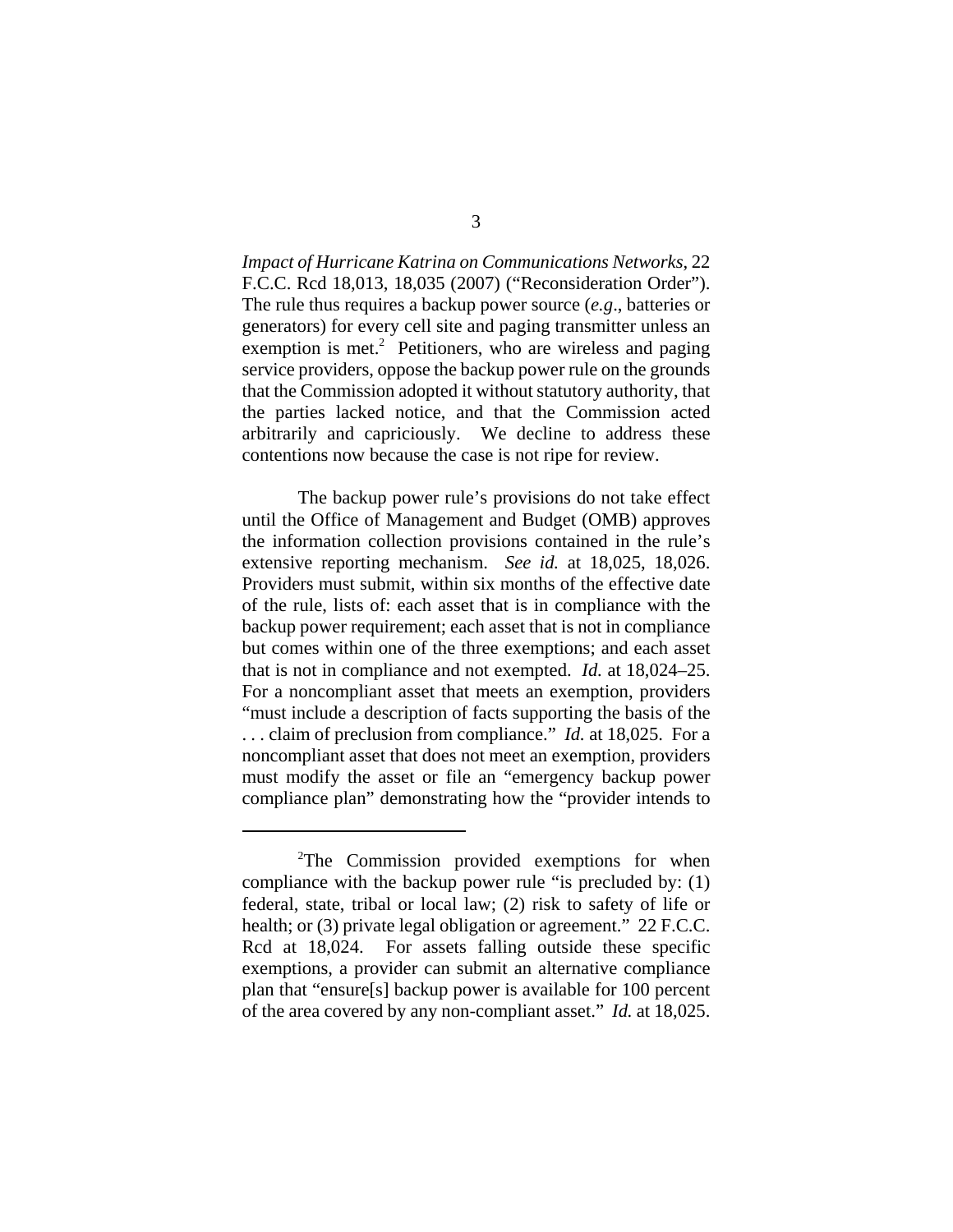*Impact of Hurricane Katrina on Communications Networks*, 22 F.C.C. Rcd 18,013, 18,035 (2007) ("Reconsideration Order"). The rule thus requires a backup power source (*e.g*., batteries or generators) for every cell site and paging transmitter unless an exemption is met.<sup>2</sup> Petitioners, who are wireless and paging service providers, oppose the backup power rule on the grounds that the Commission adopted it without statutory authority, that the parties lacked notice, and that the Commission acted arbitrarily and capriciously. We decline to address these contentions now because the case is not ripe for review.

The backup power rule's provisions do not take effect until the Office of Management and Budget (OMB) approves the information collection provisions contained in the rule's extensive reporting mechanism. *See id.* at 18,025, 18,026. Providers must submit, within six months of the effective date of the rule, lists of: each asset that is in compliance with the backup power requirement; each asset that is not in compliance but comes within one of the three exemptions; and each asset that is not in compliance and not exempted. *Id.* at 18,024–25. For a noncompliant asset that meets an exemption, providers "must include a description of facts supporting the basis of the . . . claim of preclusion from compliance." *Id.* at 18,025. For a noncompliant asset that does not meet an exemption, providers must modify the asset or file an "emergency backup power compliance plan" demonstrating how the "provider intends to

<sup>&</sup>lt;sup>2</sup>The Commission provided exemptions for when compliance with the backup power rule "is precluded by: (1) federal, state, tribal or local law; (2) risk to safety of life or health; or (3) private legal obligation or agreement." 22 F.C.C. Rcd at 18,024. For assets falling outside these specific exemptions, a provider can submit an alternative compliance plan that "ensure[s] backup power is available for 100 percent of the area covered by any non-compliant asset." *Id.* at 18,025.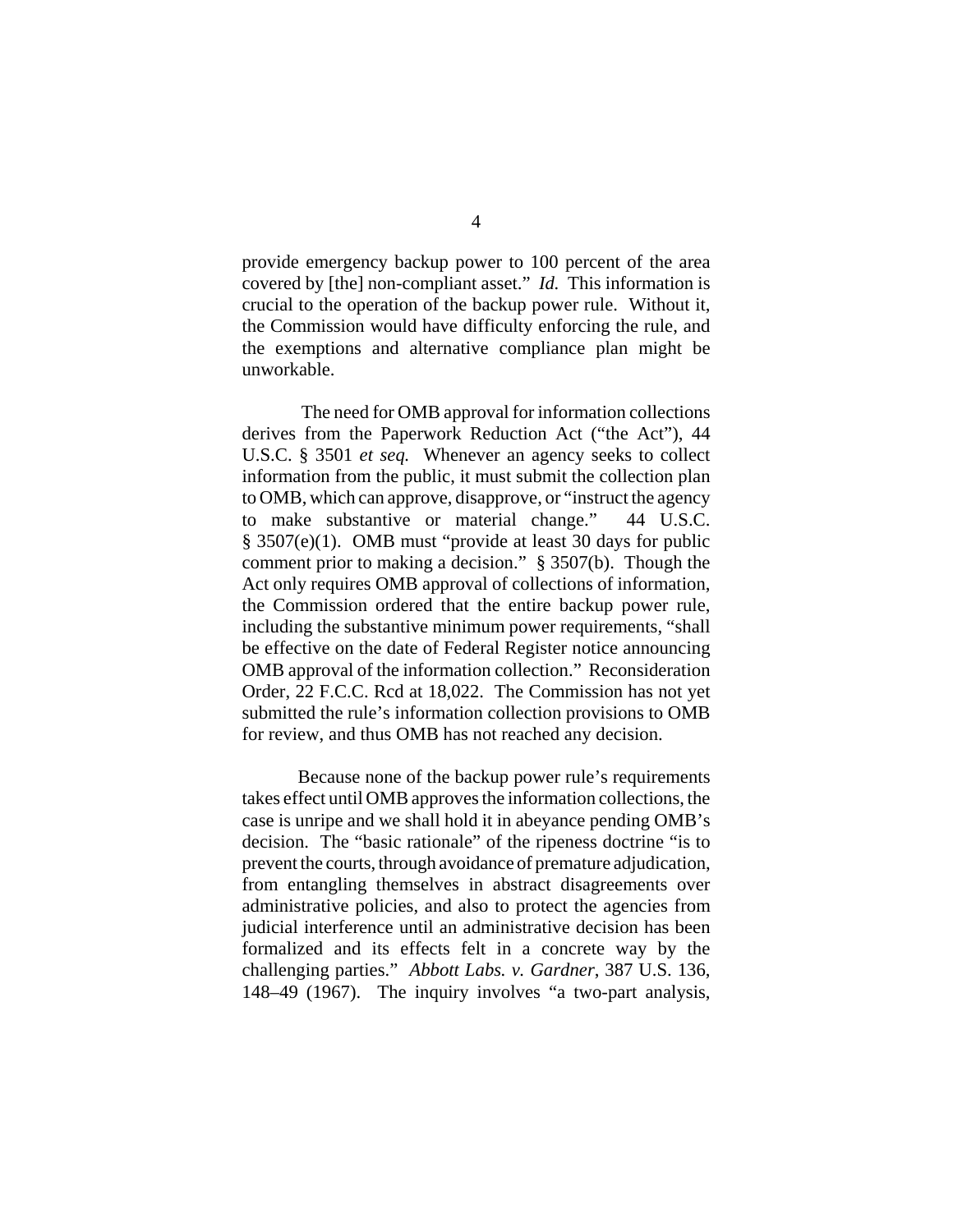provide emergency backup power to 100 percent of the area covered by [the] non-compliant asset." *Id.* This information is crucial to the operation of the backup power rule. Without it, the Commission would have difficulty enforcing the rule, and the exemptions and alternative compliance plan might be unworkable.

 The need for OMB approval for information collections derives from the Paperwork Reduction Act ("the Act"), 44 U.S.C. § 3501 *et seq.* Whenever an agency seeks to collect information from the public, it must submit the collection plan to OMB, which can approve, disapprove, or "instruct the agency to make substantive or material change." 44 U.S.C. § 3507(e)(1). OMB must "provide at least 30 days for public comment prior to making a decision." § 3507(b). Though the Act only requires OMB approval of collections of information, the Commission ordered that the entire backup power rule, including the substantive minimum power requirements, "shall be effective on the date of Federal Register notice announcing OMB approval of the information collection." Reconsideration Order, 22 F.C.C. Rcd at 18,022. The Commission has not yet submitted the rule's information collection provisions to OMB for review, and thus OMB has not reached any decision.

Because none of the backup power rule's requirements takes effect until OMB approves the information collections, the case is unripe and we shall hold it in abeyance pending OMB's decision. The "basic rationale" of the ripeness doctrine "is to prevent the courts, through avoidance of premature adjudication, from entangling themselves in abstract disagreements over administrative policies, and also to protect the agencies from judicial interference until an administrative decision has been formalized and its effects felt in a concrete way by the challenging parties." *Abbott Labs. v. Gardner*, 387 U.S. 136, 148–49 (1967). The inquiry involves "a two-part analysis,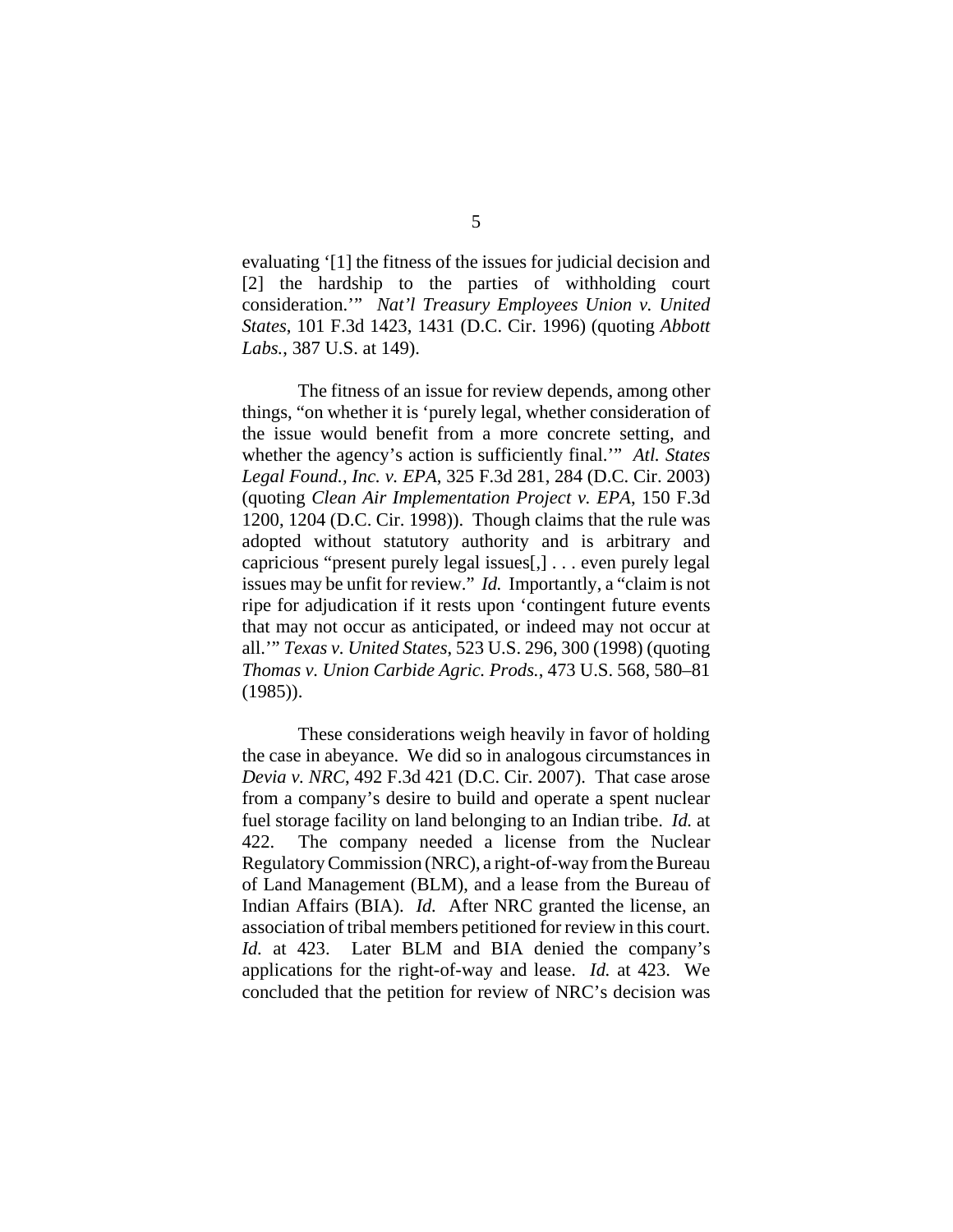evaluating '[1] the fitness of the issues for judicial decision and [2] the hardship to the parties of withholding court consideration.'" *Nat'l Treasury Employees Union v. United States*, 101 F.3d 1423, 1431 (D.C. Cir. 1996) (quoting *Abbott Labs.*, 387 U.S. at 149).

The fitness of an issue for review depends, among other things, "on whether it is 'purely legal, whether consideration of the issue would benefit from a more concrete setting, and whether the agency's action is sufficiently final.'" *Atl. States Legal Found., Inc. v. EPA*, 325 F.3d 281, 284 (D.C. Cir. 2003) (quoting *Clean Air Implementation Project v. EPA*, 150 F.3d 1200, 1204 (D.C. Cir. 1998)). Though claims that the rule was adopted without statutory authority and is arbitrary and capricious "present purely legal issues[,] . . . even purely legal issues may be unfit for review." *Id.* Importantly, a "claim is not ripe for adjudication if it rests upon 'contingent future events that may not occur as anticipated, or indeed may not occur at all.'" *Texas v. United States*, 523 U.S. 296, 300 (1998) (quoting *Thomas v. Union Carbide Agric. Prods.*, 473 U.S. 568, 580–81 (1985)).

These considerations weigh heavily in favor of holding the case in abeyance. We did so in analogous circumstances in *Devia v. NRC*, 492 F.3d 421 (D.C. Cir. 2007). That case arose from a company's desire to build and operate a spent nuclear fuel storage facility on land belonging to an Indian tribe. *Id.* at 422. The company needed a license from the Nuclear Regulatory Commission (NRC), a right-of-way from the Bureau of Land Management (BLM), and a lease from the Bureau of Indian Affairs (BIA). *Id.* After NRC granted the license, an association of tribal members petitioned for review in this court. *Id.* at 423. Later BLM and BIA denied the company's applications for the right-of-way and lease. *Id.* at 423. We concluded that the petition for review of NRC's decision was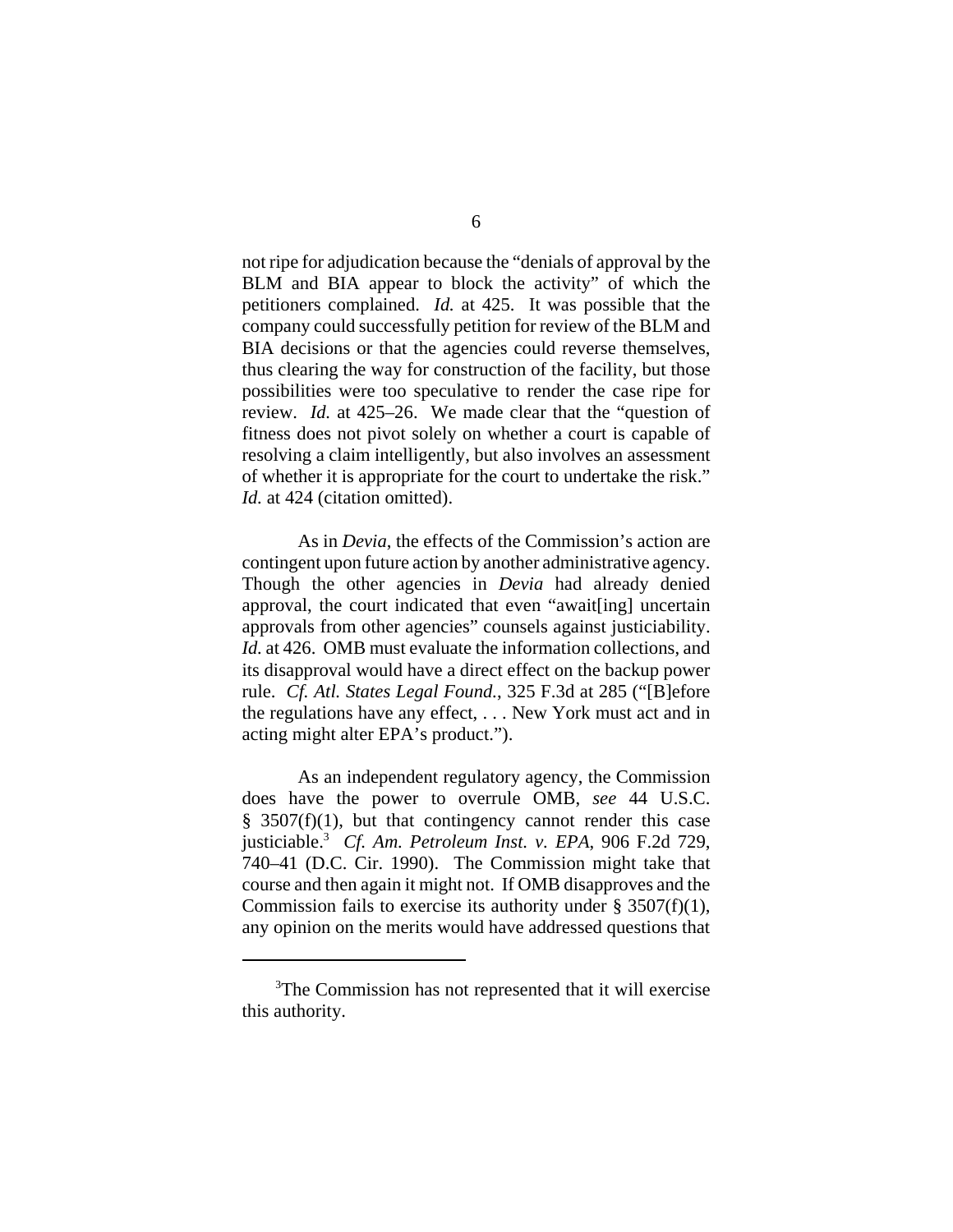not ripe for adjudication because the "denials of approval by the BLM and BIA appear to block the activity" of which the petitioners complained. *Id.* at 425. It was possible that the company could successfully petition for review of the BLM and BIA decisions or that the agencies could reverse themselves, thus clearing the way for construction of the facility, but those possibilities were too speculative to render the case ripe for review. *Id.* at 425–26. We made clear that the "question of fitness does not pivot solely on whether a court is capable of resolving a claim intelligently, but also involves an assessment of whether it is appropriate for the court to undertake the risk." Id. at 424 (citation omitted).

As in *Devia*, the effects of the Commission's action are contingent upon future action by another administrative agency. Though the other agencies in *Devia* had already denied approval, the court indicated that even "await[ing] uncertain approvals from other agencies" counsels against justiciability. *Id.* at 426. OMB must evaluate the information collections, and its disapproval would have a direct effect on the backup power rule. *Cf. Atl. States Legal Found.*, 325 F.3d at 285 ("[B]efore the regulations have any effect, . . . New York must act and in acting might alter EPA's product.").

As an independent regulatory agency, the Commission does have the power to overrule OMB, *see* 44 U.S.C.  $§$  3507(f)(1), but that contingency cannot render this case justiciable.3 *Cf. Am. Petroleum Inst. v. EPA*, 906 F.2d 729, 740–41 (D.C. Cir. 1990). The Commission might take that course and then again it might not. If OMB disapproves and the Commission fails to exercise its authority under  $\S$  3507(f)(1), any opinion on the merits would have addressed questions that

<sup>&</sup>lt;sup>3</sup>The Commission has not represented that it will exercise this authority.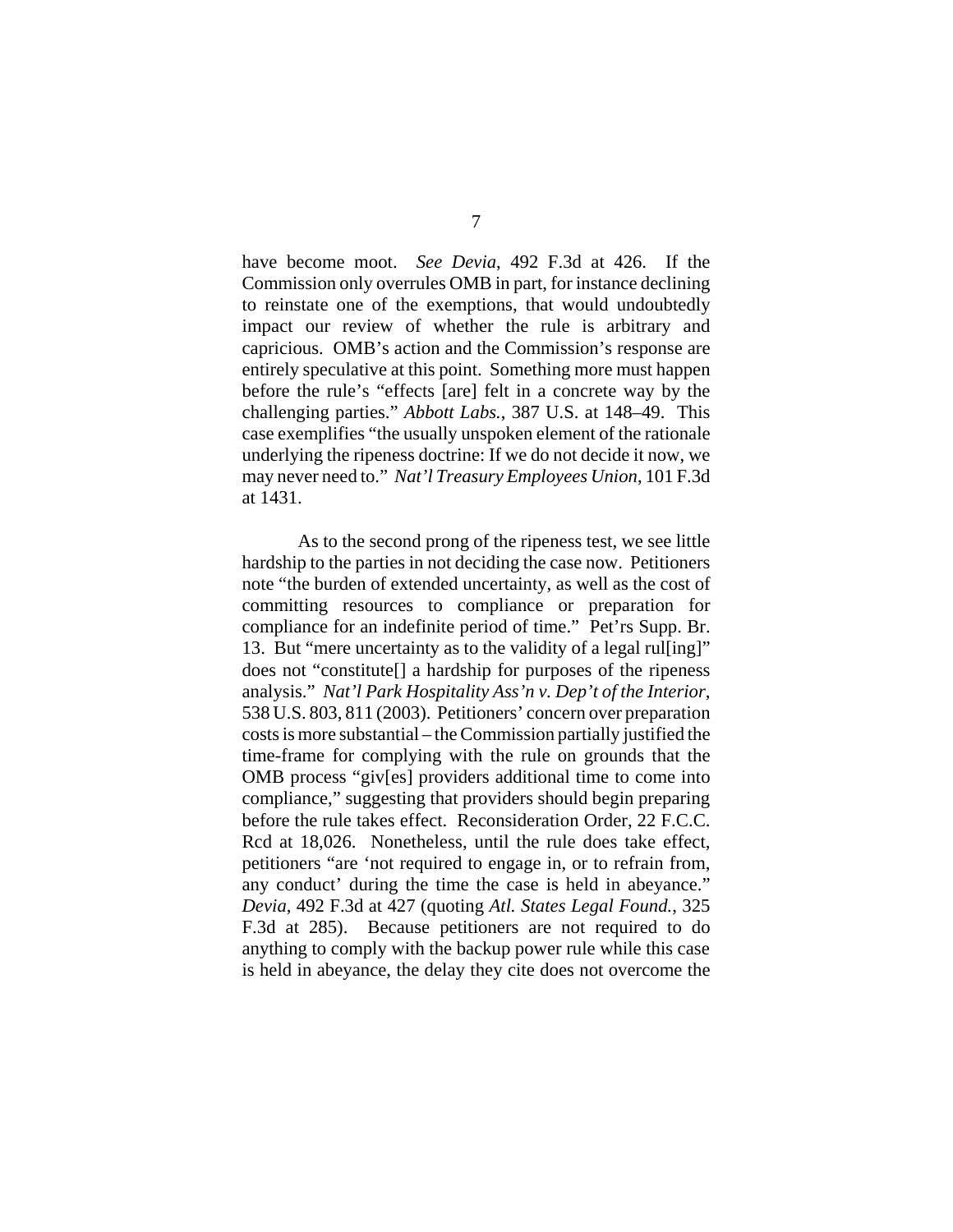have become moot. *See Devia*, 492 F.3d at 426. If the Commission only overrules OMB in part, for instance declining to reinstate one of the exemptions, that would undoubtedly impact our review of whether the rule is arbitrary and capricious. OMB's action and the Commission's response are entirely speculative at this point. Something more must happen before the rule's "effects [are] felt in a concrete way by the challenging parties." *Abbott Labs.*, 387 U.S. at 148–49. This case exemplifies "the usually unspoken element of the rationale underlying the ripeness doctrine: If we do not decide it now, we may never need to." *Nat'l Treasury Employees Union*, 101 F.3d at 1431.

As to the second prong of the ripeness test, we see little hardship to the parties in not deciding the case now. Petitioners note "the burden of extended uncertainty, as well as the cost of committing resources to compliance or preparation for compliance for an indefinite period of time." Pet'rs Supp. Br. 13. But "mere uncertainty as to the validity of a legal rul[ing]" does not "constitute[] a hardship for purposes of the ripeness analysis." *Nat'l Park Hospitality Ass'n v. Dep't of the Interior*, 538 U.S. 803, 811 (2003). Petitioners' concern over preparation costs is more substantial – the Commission partially justified the time-frame for complying with the rule on grounds that the OMB process "giv[es] providers additional time to come into compliance," suggesting that providers should begin preparing before the rule takes effect. Reconsideration Order, 22 F.C.C. Rcd at 18,026. Nonetheless, until the rule does take effect, petitioners "are 'not required to engage in, or to refrain from, any conduct' during the time the case is held in abeyance." *Devia*, 492 F.3d at 427 (quoting *Atl. States Legal Found.*, 325 F.3d at 285). Because petitioners are not required to do anything to comply with the backup power rule while this case is held in abeyance, the delay they cite does not overcome the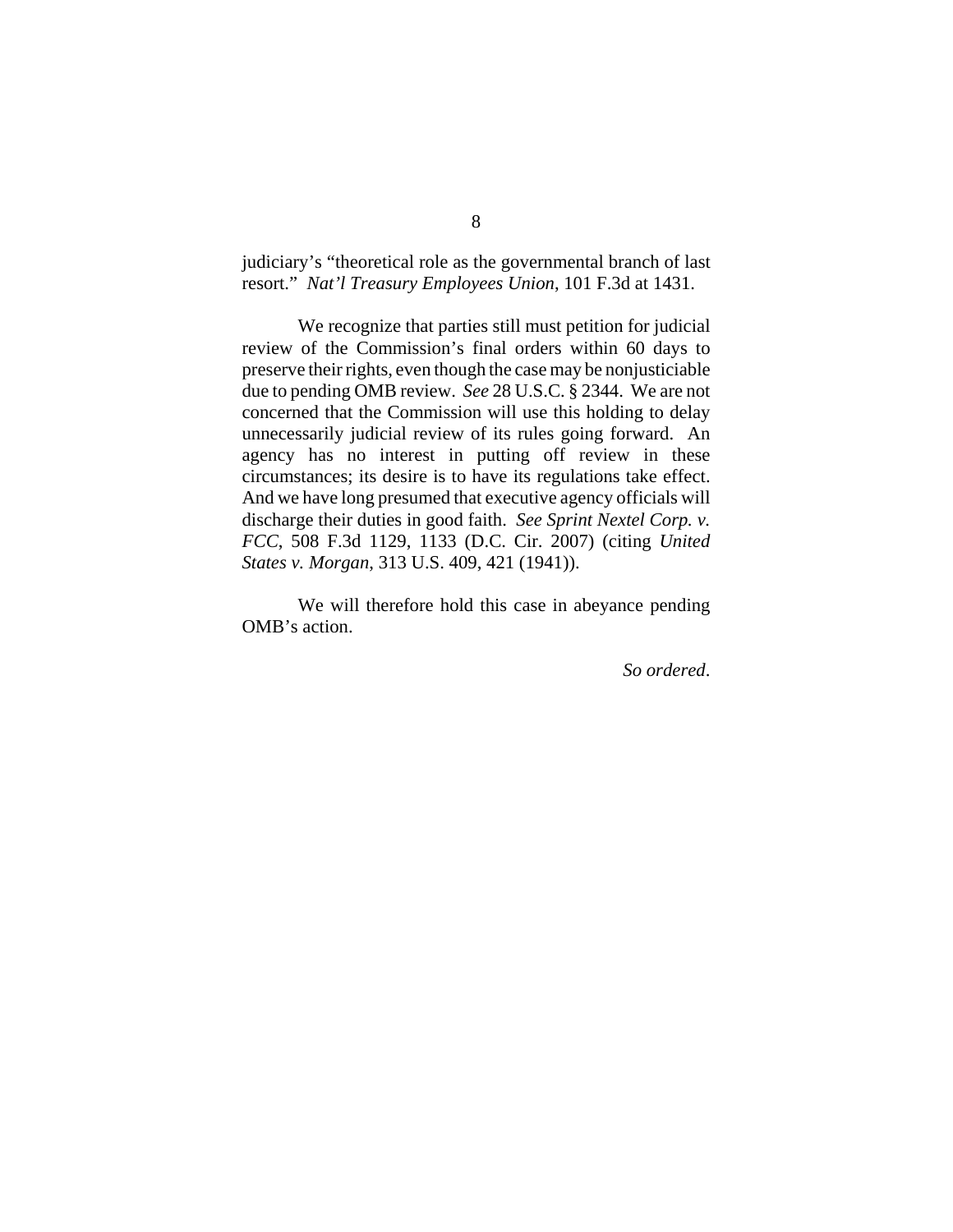judiciary's "theoretical role as the governmental branch of last resort." *Nat'l Treasury Employees Union*, 101 F.3d at 1431.

We recognize that parties still must petition for judicial review of the Commission's final orders within 60 days to preserve their rights, even though the case may be nonjusticiable due to pending OMB review. *See* 28 U.S.C. § 2344. We are not concerned that the Commission will use this holding to delay unnecessarily judicial review of its rules going forward. An agency has no interest in putting off review in these circumstances; its desire is to have its regulations take effect. And we have long presumed that executive agency officials will discharge their duties in good faith. *See Sprint Nextel Corp. v. FCC*, 508 F.3d 1129, 1133 (D.C. Cir. 2007) (citing *United States v. Morgan*, 313 U.S. 409, 421 (1941)).

We will therefore hold this case in abeyance pending OMB's action.

*So ordered*.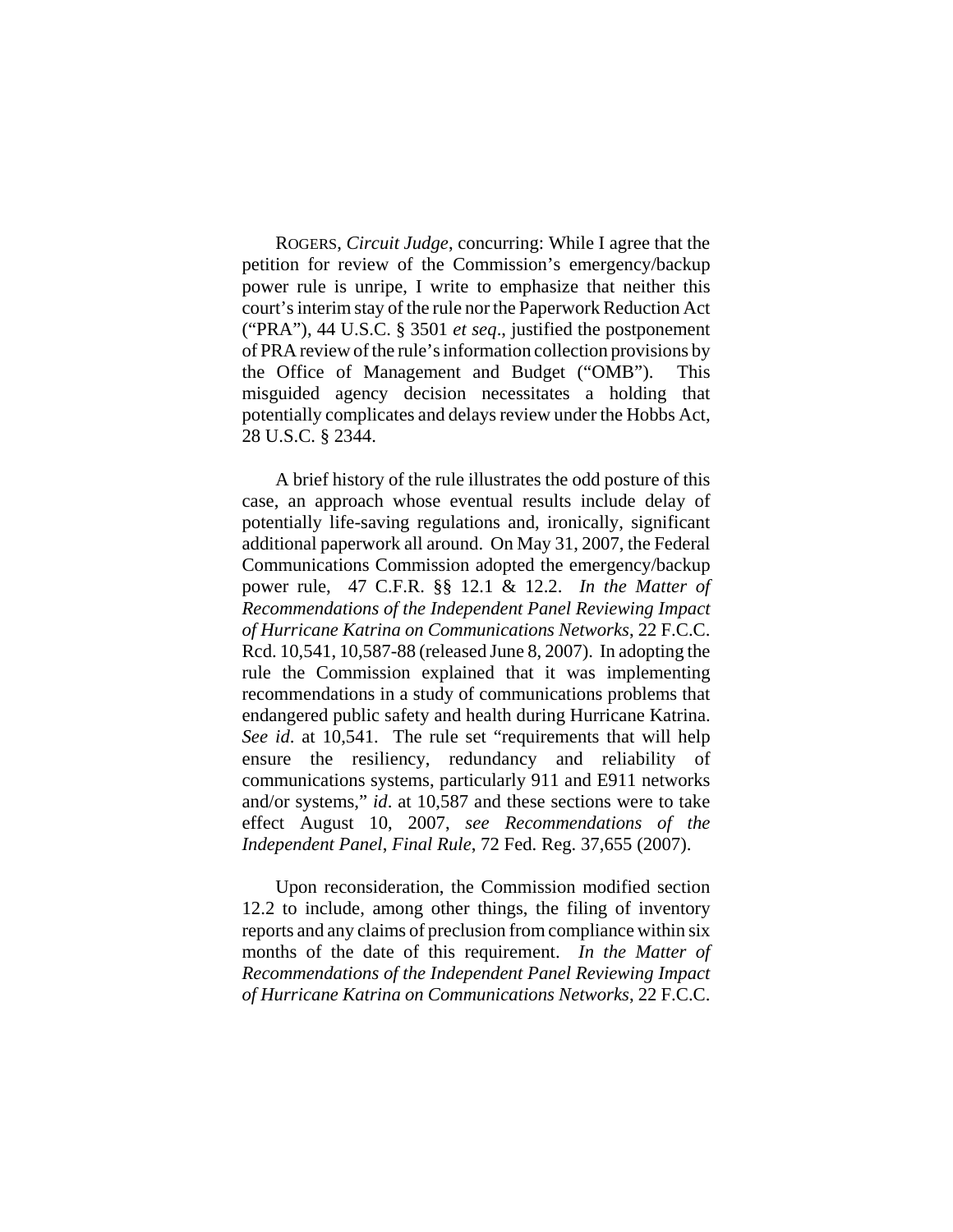ROGERS, *Circuit Judge*, concurring: While I agree that the petition for review of the Commission's emergency/backup power rule is unripe, I write to emphasize that neither this court's interim stay of the rule nor the Paperwork Reduction Act ("PRA"), 44 U.S.C. § 3501 *et seq*., justified the postponement of PRA review of the rule's information collection provisions by the Office of Management and Budget ("OMB"). This misguided agency decision necessitates a holding that potentially complicates and delays review under the Hobbs Act, 28 U.S.C. § 2344.

A brief history of the rule illustrates the odd posture of this case, an approach whose eventual results include delay of potentially life-saving regulations and, ironically, significant additional paperwork all around. On May 31, 2007, the Federal Communications Commission adopted the emergency/backup power rule, 47 C.F.R. §§ 12.1 & 12.2. *In the Matter of Recommendations of the Independent Panel Reviewing Impact of Hurricane Katrina on Communications Networks*, 22 F.C.C. Rcd. 10,541, 10,587-88 (released June 8, 2007). In adopting the rule the Commission explained that it was implementing recommendations in a study of communications problems that endangered public safety and health during Hurricane Katrina. *See id*. at 10,541. The rule set "requirements that will help ensure the resiliency, redundancy and reliability of communications systems, particularly 911 and E911 networks and/or systems," *id*. at 10,587 and these sections were to take effect August 10, 2007, *see Recommendations of the Independent Panel*, *Final Rule*, 72 Fed. Reg. 37,655 (2007).

Upon reconsideration, the Commission modified section 12.2 to include, among other things, the filing of inventory reports and any claims of preclusion from compliance within six months of the date of this requirement. *In the Matter of Recommendations of the Independent Panel Reviewing Impact of Hurricane Katrina on Communications Networks*, 22 F.C.C.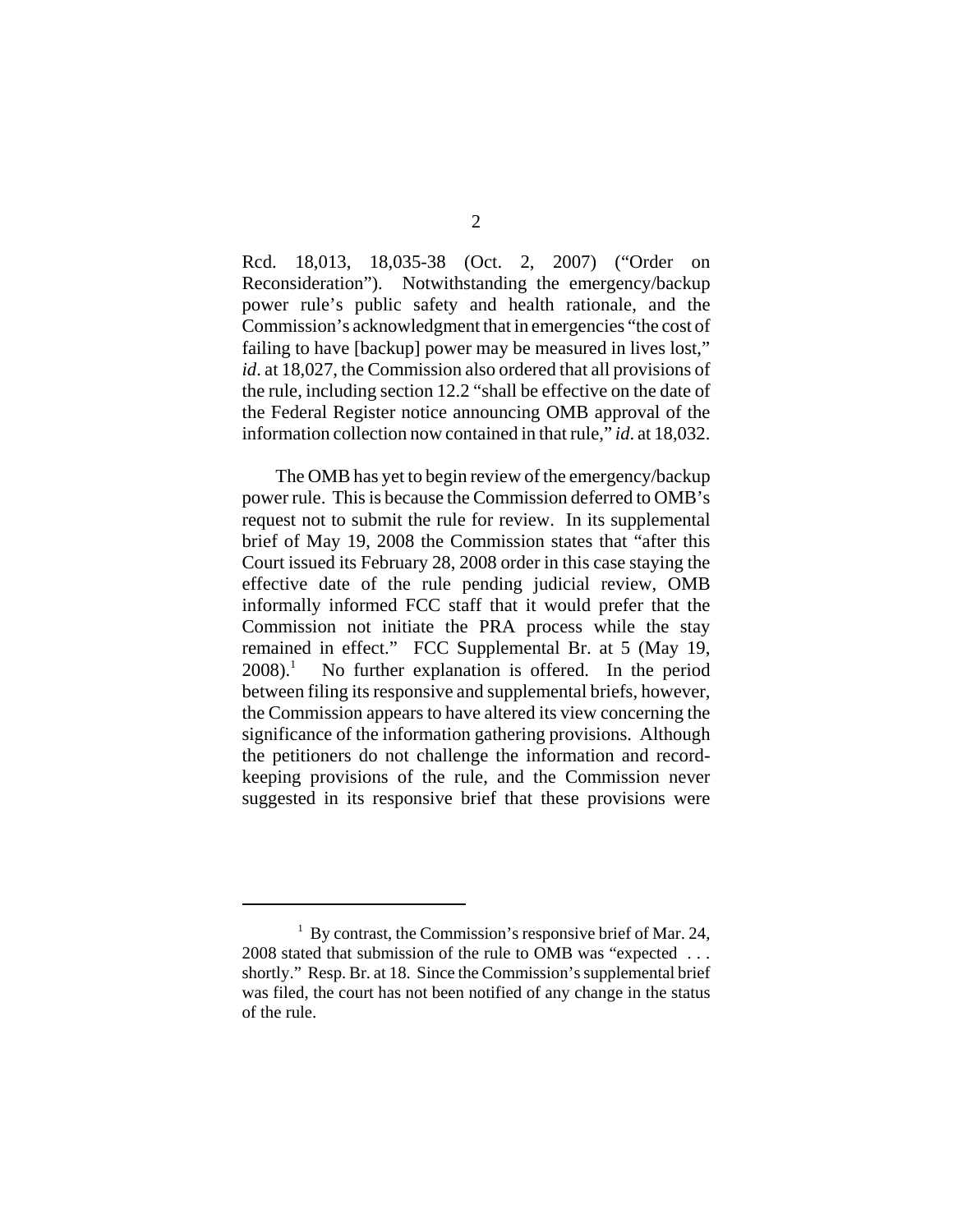Rcd. 18,013, 18,035-38 (Oct. 2, 2007) ("Order on Reconsideration"). Notwithstanding the emergency/backup power rule's public safety and health rationale, and the Commission's acknowledgment that in emergencies "the cost of failing to have [backup] power may be measured in lives lost," *id*. at 18,027, the Commission also ordered that all provisions of the rule, including section 12.2 "shall be effective on the date of the Federal Register notice announcing OMB approval of the information collection now contained in that rule," *id*. at 18,032.

The OMB has yet to begin review of the emergency/backup power rule. This is because the Commission deferred to OMB's request not to submit the rule for review. In its supplemental brief of May 19, 2008 the Commission states that "after this Court issued its February 28, 2008 order in this case staying the effective date of the rule pending judicial review, OMB informally informed FCC staff that it would prefer that the Commission not initiate the PRA process while the stay remained in effect." FCC Supplemental Br. at 5 (May 19,  $2008$ ).<sup>1</sup> No further explanation is offered. In the period between filing its responsive and supplemental briefs, however, the Commission appears to have altered its view concerning the significance of the information gathering provisions. Although the petitioners do not challenge the information and recordkeeping provisions of the rule, and the Commission never suggested in its responsive brief that these provisions were

<sup>&</sup>lt;sup>1</sup> By contrast, the Commission's responsive brief of Mar. 24, 2008 stated that submission of the rule to OMB was "expected . . . shortly." Resp. Br. at 18. Since the Commission's supplemental brief was filed, the court has not been notified of any change in the status of the rule.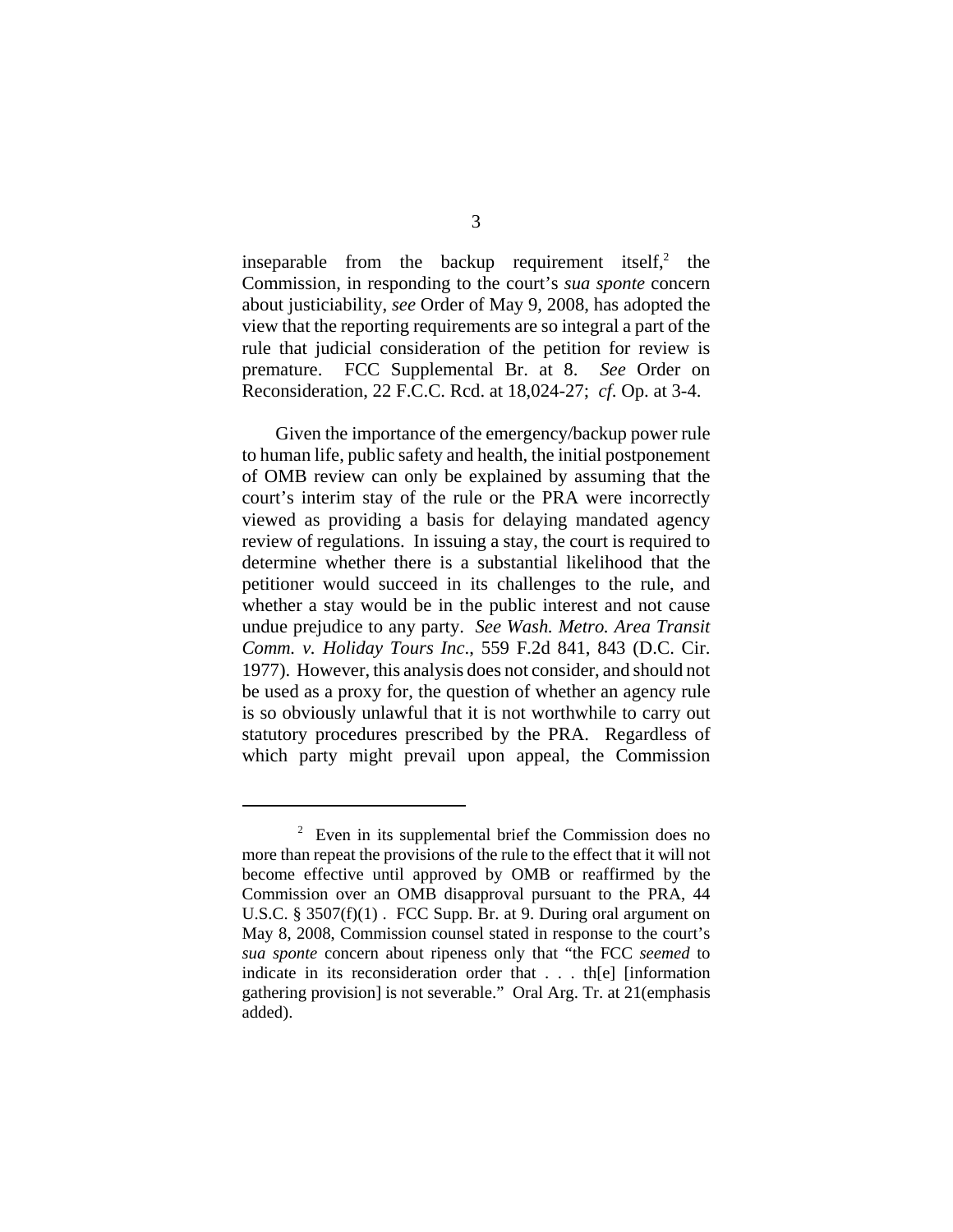inseparable from the backup requirement itself, $2$  the Commission, in responding to the court's *sua sponte* concern about justiciability, *see* Order of May 9, 2008, has adopted the view that the reporting requirements are so integral a part of the rule that judicial consideration of the petition for review is premature. FCC Supplemental Br. at 8. *See* Order on Reconsideration, 22 F.C.C. Rcd. at 18,024-27; *cf*. Op. at 3-4.

Given the importance of the emergency/backup power rule to human life, public safety and health, the initial postponement of OMB review can only be explained by assuming that the court's interim stay of the rule or the PRA were incorrectly viewed as providing a basis for delaying mandated agency review of regulations. In issuing a stay, the court is required to determine whether there is a substantial likelihood that the petitioner would succeed in its challenges to the rule, and whether a stay would be in the public interest and not cause undue prejudice to any party. *See Wash. Metro. Area Transit Comm. v. Holiday Tours Inc*., 559 F.2d 841, 843 (D.C. Cir. 1977). However, this analysis does not consider, and should not be used as a proxy for, the question of whether an agency rule is so obviously unlawful that it is not worthwhile to carry out statutory procedures prescribed by the PRA. Regardless of which party might prevail upon appeal, the Commission

 $2$  Even in its supplemental brief the Commission does no more than repeat the provisions of the rule to the effect that it will not become effective until approved by OMB or reaffirmed by the Commission over an OMB disapproval pursuant to the PRA, 44 U.S.C. § 3507(f)(1). FCC Supp. Br. at 9. During oral argument on May 8, 2008, Commission counsel stated in response to the court's *sua sponte* concern about ripeness only that "the FCC *seemed* to indicate in its reconsideration order that . . . th[e] [information gathering provision] is not severable." Oral Arg. Tr. at 21(emphasis added).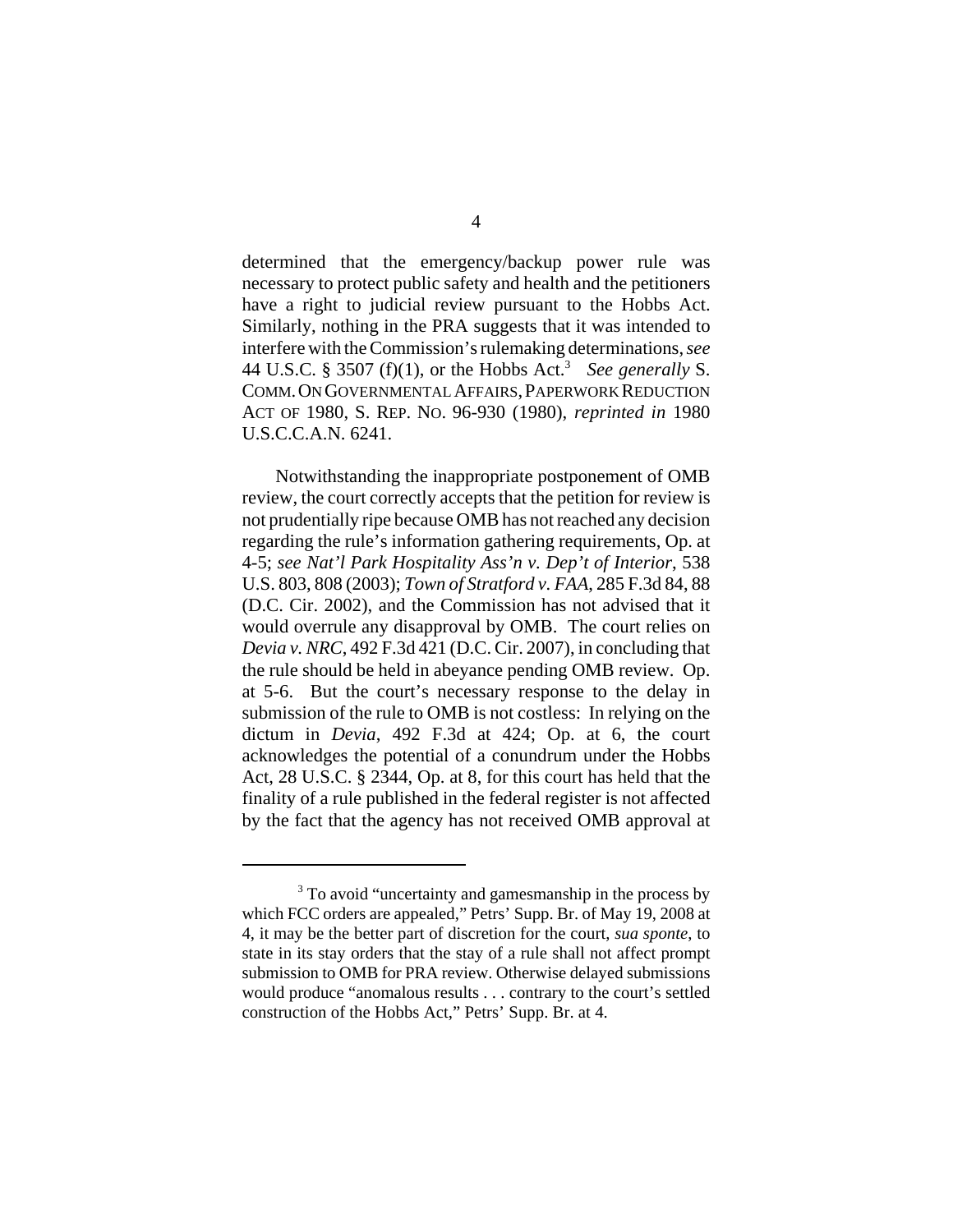determined that the emergency/backup power rule was necessary to protect public safety and health and the petitioners have a right to judicial review pursuant to the Hobbs Act. Similarly, nothing in the PRA suggests that it was intended to interfere with the Commission's rulemaking determinations, *see* 44 U.S.C. § 3507 (f)(1), or the Hobbs Act.3 *See generally* S. COMM. ON GOVERNMENTAL AFFAIRS, PAPERWORK REDUCTION ACT OF 1980, S. REP. NO. 96-930 (1980), *reprinted in* 1980 U.S.C.C.A.N. 6241.

Notwithstanding the inappropriate postponement of OMB review, the court correctly accepts that the petition for review is not prudentially ripe because OMB has not reached any decision regarding the rule's information gathering requirements, Op. at 4-5; *see Nat'l Park Hospitality Ass'n v. Dep't of Interior*, 538 U.S. 803, 808 (2003); *Town of Stratford v. FAA*, 285 F.3d 84, 88 (D.C. Cir. 2002), and the Commission has not advised that it would overrule any disapproval by OMB. The court relies on *Devia v. NRC*, 492 F.3d 421 (D.C. Cir. 2007), in concluding that the rule should be held in abeyance pending OMB review. Op. at 5-6. But the court's necessary response to the delay in submission of the rule to OMB is not costless: In relying on the dictum in *Devia*, 492 F.3d at 424; Op. at 6, the court acknowledges the potential of a conundrum under the Hobbs Act, 28 U.S.C. § 2344, Op. at 8, for this court has held that the finality of a rule published in the federal register is not affected by the fact that the agency has not received OMB approval at

<sup>&</sup>lt;sup>3</sup> To avoid "uncertainty and gamesmanship in the process by which FCC orders are appealed," Petrs' Supp. Br. of May 19, 2008 at 4, it may be the better part of discretion for the court, *sua sponte*, to state in its stay orders that the stay of a rule shall not affect prompt submission to OMB for PRA review. Otherwise delayed submissions would produce "anomalous results . . . contrary to the court's settled construction of the Hobbs Act," Petrs' Supp. Br. at 4.